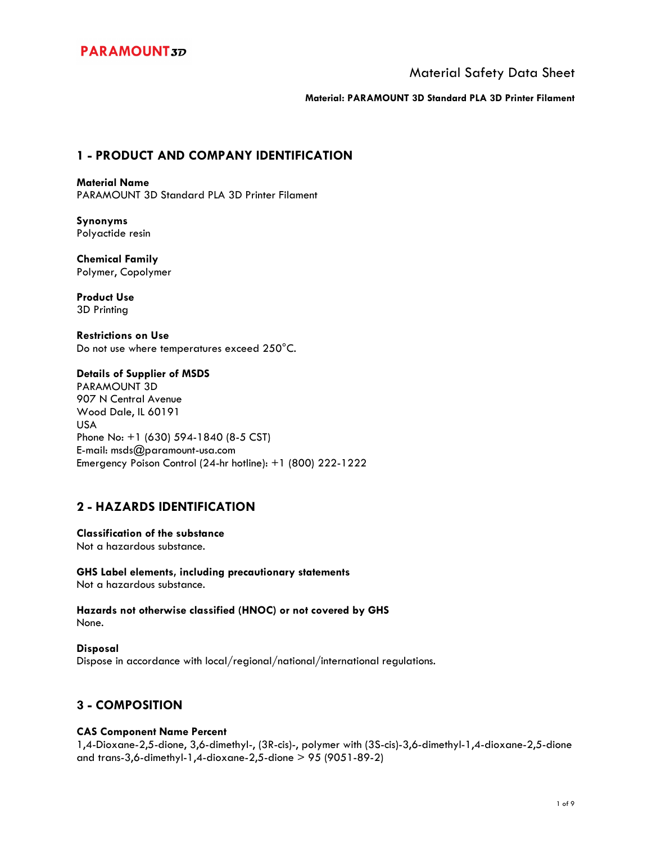## Material Safety Data Sheet

**Material: PARAMOUNT 3D Standard PLA 3D Printer Filament**

## **1 - PRODUCT AND COMPANY IDENTIFICATION**

**Material Name**  PARAMOUNT 3D Standard PLA 3D Printer Filament

**Synonyms**  Polyactide resin

**Chemical Family**  Polymer, Copolymer

**Product Use**  3D Printing

**Restrictions on Use**  Do not use where temperatures exceed 250°C.

### **Details of Supplier of MSDS**

PARAMOUNT 3D 907 N Central Avenue Wood Dale, IL 60191 USA Phone No: +1 (630) 594-1840 (8-5 CST) E-mail: msds@paramount-usa.com Emergency Poison Control (24-hr hotline): +1 (800) 222-1222

## **2 - HAZARDS IDENTIFICATION**

**Classification of the substance**  Not a hazardous substance.

**GHS Label elements, including precautionary statements**  Not a hazardous substance.

**Hazards not otherwise classified (HNOC) or not covered by GHS**  None.

**Disposal**  Dispose in accordance with local/regional/national/international regulations.

## **3 - COMPOSITION**

### **CAS Component Name Percent**

1,4-Dioxane-2,5-dione, 3,6-dimethyl-, (3R-cis)-, polymer with (3S-cis)-3,6-dimethyl-1,4-dioxane-2,5-dione and trans-3,6-dimethyl-1,4-dioxane-2,5-dione > 95 (9051-89-2)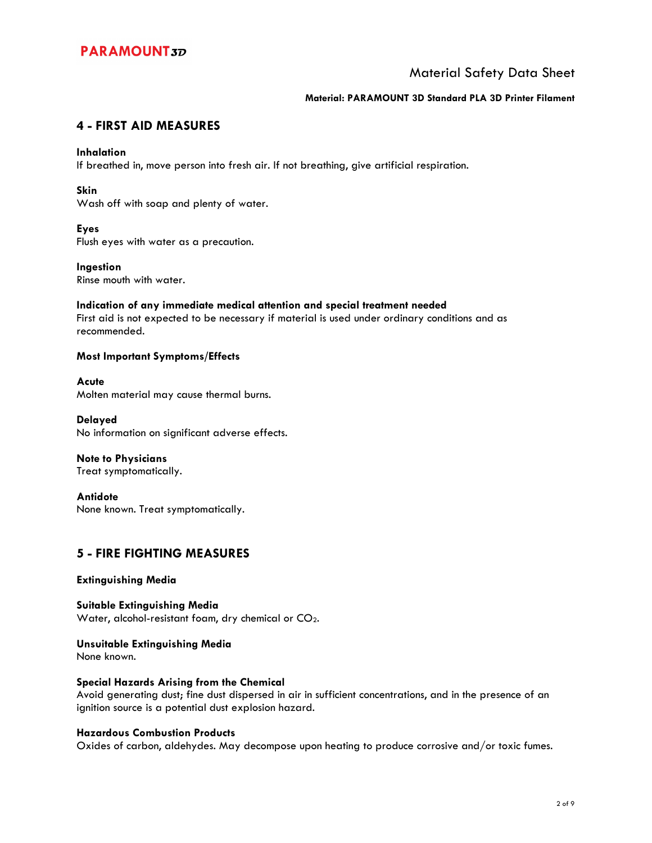## Material Safety Data Sheet

### **Material: PARAMOUNT 3D Standard PLA 3D Printer Filament**

## **4 - FIRST AID MEASURES**

### **Inhalation**

If breathed in, move person into fresh air. If not breathing, give artificial respiration.

### **Skin**

Wash off with soap and plenty of water.

### **Eyes**

Flush eyes with water as a precaution.

### **Ingestion**

Rinse mouth with water.

### **Indication of any immediate medical attention and special treatment needed**

First aid is not expected to be necessary if material is used under ordinary conditions and as recommended.

### **Most Important Symptoms/Effects**

**Acute**  Molten material may cause thermal burns.

**Delayed**  No information on significant adverse effects.

**Note to Physicians**  Treat symptomatically.

**Antidote**  None known. Treat symptomatically.

## **5 - FIRE FIGHTING MEASURES**

### **Extinguishing Media**

**Suitable Extinguishing Media**  Water, alcohol-resistant foam, dry chemical or CO2.

**Unsuitable Extinguishing Media**  None known.

### **Special Hazards Arising from the Chemical**

Avoid generating dust; fine dust dispersed in air in sufficient concentrations, and in the presence of an ignition source is a potential dust explosion hazard.

### **Hazardous Combustion Products**

Oxides of carbon, aldehydes. May decompose upon heating to produce corrosive and/or toxic fumes.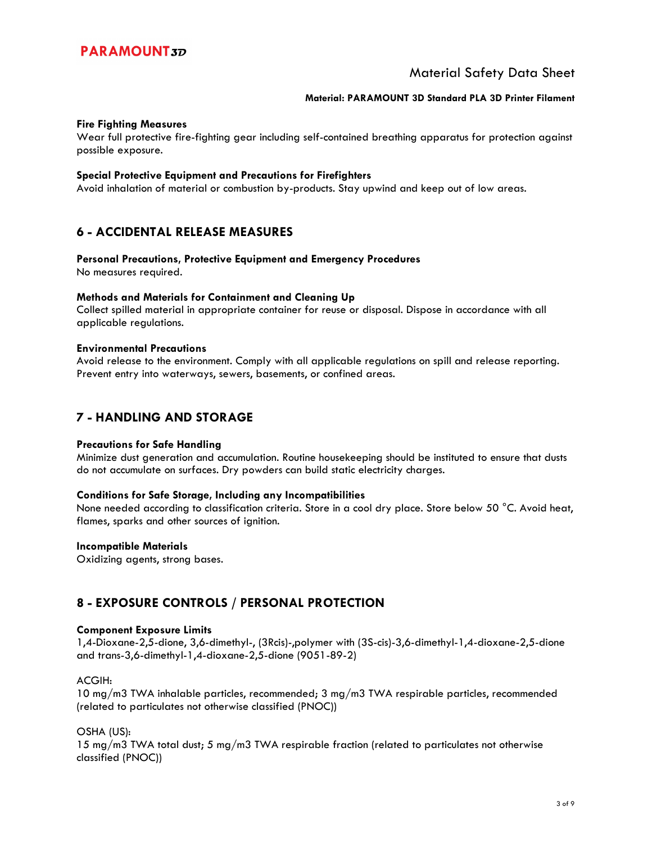## Material Safety Data Sheet

#### **Material: PARAMOUNT 3D Standard PLA 3D Printer Filament**

#### **Fire Fighting Measures**

Wear full protective fire-fighting gear including self-contained breathing apparatus for protection against possible exposure.

#### **Special Protective Equipment and Precautions for Firefighters**

Avoid inhalation of material or combustion by-products. Stay upwind and keep out of low areas.

### **6 - ACCIDENTAL RELEASE MEASURES**

#### **Personal Precautions, Protective Equipment and Emergency Procedures**

No measures required.

#### **Methods and Materials for Containment and Cleaning Up**

Collect spilled material in appropriate container for reuse or disposal. Dispose in accordance with all applicable regulations.

#### **Environmental Precautions**

Avoid release to the environment. Comply with all applicable regulations on spill and release reporting. Prevent entry into waterways, sewers, basements, or confined areas.

### **7 - HANDLING AND STORAGE**

#### **Precautions for Safe Handling**

Minimize dust generation and accumulation. Routine housekeeping should be instituted to ensure that dusts do not accumulate on surfaces. Dry powders can build static electricity charges.

#### **Conditions for Safe Storage, Including any Incompatibilities**

None needed according to classification criteria. Store in a cool dry place. Store below 50 °C. Avoid heat, flames, sparks and other sources of ignition.

#### **Incompatible Materials**

Oxidizing agents, strong bases.

## **8 - EXPOSURE CONTROLS / PERSONAL PROTECTION**

#### **Component Exposure Limits**

1,4-Dioxane-2,5-dione, 3,6-dimethyl-, (3Rcis)-,polymer with (3S-cis)-3,6-dimethyl-1,4-dioxane-2,5-dione and trans-3,6-dimethyl-1,4-dioxane-2,5-dione (9051-89-2)

#### ACGIH:

10 mg/m3 TWA inhalable particles, recommended; 3 mg/m3 TWA respirable particles, recommended (related to particulates not otherwise classified (PNOC))

### OSHA (US):

15 mg/m3 TWA total dust; 5 mg/m3 TWA respirable fraction (related to particulates not otherwise classified (PNOC))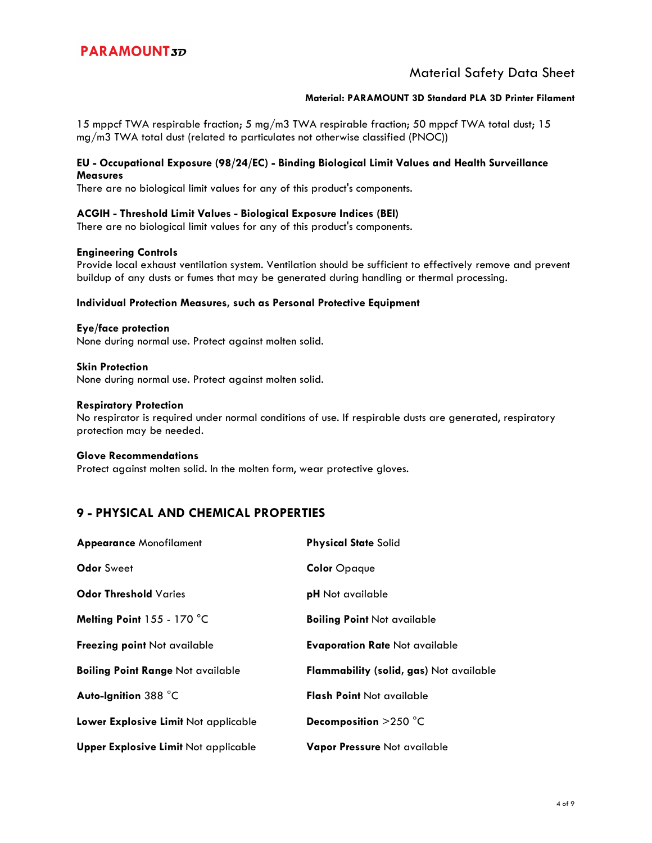## Material Safety Data Sheet

### **Material: PARAMOUNT 3D Standard PLA 3D Printer Filament**

15 mppcf TWA respirable fraction; 5 mg/m3 TWA respirable fraction; 50 mppcf TWA total dust; 15 mg/m3 TWA total dust (related to particulates not otherwise classified (PNOC))

#### **EU - Occupational Exposure (98/24/EC) - Binding Biological Limit Values and Health Surveillance Measures**

There are no biological limit values for any of this product's components.

#### **ACGIH - Threshold Limit Values - Biological Exposure Indices (BEI)**

There are no biological limit values for any of this product's components.

#### **Engineering Controls**

Provide local exhaust ventilation system. Ventilation should be sufficient to effectively remove and prevent buildup of any dusts or fumes that may be generated during handling or thermal processing.

#### **Individual Protection Measures, such as Personal Protective Equipment**

**Eye/face protection**  None during normal use. Protect against molten solid.

**Skin Protection**  None during normal use. Protect against molten solid.

#### **Respiratory Protection**

No respirator is required under normal conditions of use. If respirable dusts are generated, respiratory protection may be needed.

#### **Glove Recommendations**

Protect against molten solid. In the molten form, wear protective gloves.

### **9 - PHYSICAL AND CHEMICAL PROPERTIES**

| <b>Appearance Monofilament</b>              | <b>Physical State Solid</b>             |
|---------------------------------------------|-----------------------------------------|
| <b>Odor Sweet</b>                           | <b>Color</b> Opaque                     |
| <b>Odor Threshold Varies</b>                | <b>pH</b> Not available                 |
| Melting Point 155 - 170 °C                  | <b>Boiling Point Not available</b>      |
| <b>Freezing point Not available</b>         | <b>Evaporation Rate Not available</b>   |
| <b>Boiling Point Range Not available</b>    | Flammability (solid, gas) Not available |
| Auto-Ignition 388 °C                        | <b>Flash Point Not available</b>        |
| Lower Explosive Limit Not applicable        | Decomposition $>250$ °C                 |
| <b>Upper Explosive Limit Not applicable</b> | Vapor Pressure Not available            |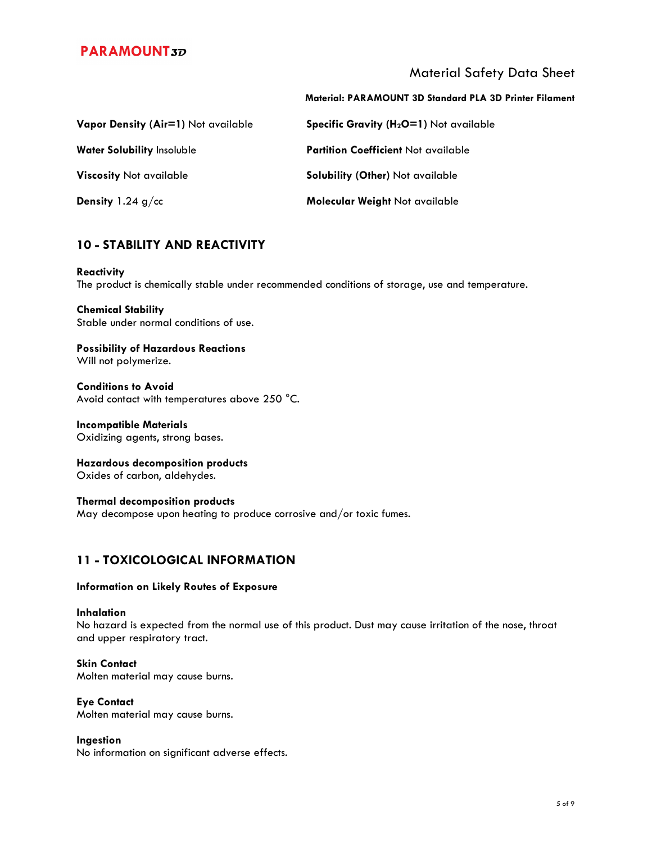Material Safety Data Sheet

|                                     | <b>Material: PARAMOUNT 3D Standard PLA 3D Printer Filament</b> |
|-------------------------------------|----------------------------------------------------------------|
| Vapor Density (Air=1) Not available | Specific Gravity (H <sub>2</sub> O=1) Not available            |
| <b>Water Solubility Insoluble</b>   | <b>Partition Coefficient Not available</b>                     |
| <b>Viscosity Not available</b>      | <b>Solubility (Other)</b> Not available                        |
| <b>Density</b> 1.24 $g$ /cc         | Molecular Weight Not available                                 |

## **10 - STABILITY AND REACTIVITY**

### **Reactivity**

The product is chemically stable under recommended conditions of storage, use and temperature.

# **Chemical Stability**

Stable under normal conditions of use.

#### **Possibility of Hazardous Reactions**  Will not polymerize.

**Conditions to Avoid**  Avoid contact with temperatures above 250 °C.

**Incompatible Materials**  Oxidizing agents, strong bases.

**Hazardous decomposition products**  Oxides of carbon, aldehydes.

**Thermal decomposition products**  May decompose upon heating to produce corrosive and/or toxic fumes.

## **11 - TOXICOLOGICAL INFORMATION**

### **Information on Likely Routes of Exposure**

### **Inhalation**

No hazard is expected from the normal use of this product. Dust may cause irritation of the nose, throat and upper respiratory tract.

### **Skin Contact**

Molten material may cause burns.

### **Eye Contact**

Molten material may cause burns.

### **Ingestion**

No information on significant adverse effects.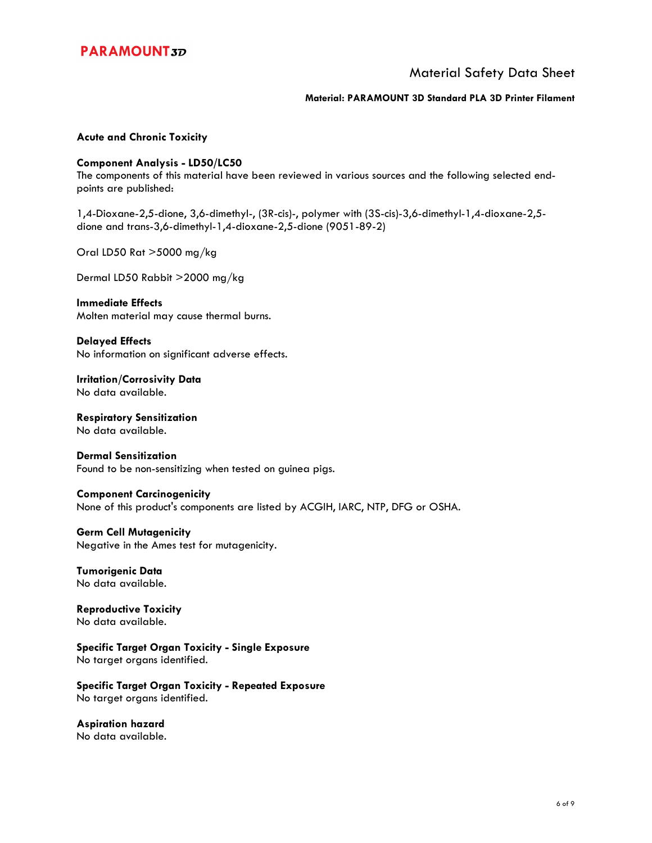

## Material Safety Data Sheet

#### **Material: PARAMOUNT 3D Standard PLA 3D Printer Filament**

### **Acute and Chronic Toxicity**

#### **Component Analysis - LD50/LC50**

The components of this material have been reviewed in various sources and the following selected endpoints are published:

1,4-Dioxane-2,5-dione, 3,6-dimethyl-, (3R-cis)-, polymer with (3S-cis)-3,6-dimethyl-1,4-dioxane-2,5 dione and trans-3,6-dimethyl-1,4-dioxane-2,5-dione (9051-89-2)

Oral LD50 Rat >5000 mg/kg

Dermal LD50 Rabbit >2000 mg/kg

### **Immediate Effects**

Molten material may cause thermal burns.

**Delayed Effects**  No information on significant adverse effects.

**Irritation/Corrosivity Data**  No data available.

**Respiratory Sensitization**  No data available.

### **Dermal Sensitization**

Found to be non-sensitizing when tested on guinea pigs.

#### **Component Carcinogenicity**

None of this product's components are listed by ACGIH, IARC, NTP, DFG or OSHA.

### **Germ Cell Mutagenicity**

Negative in the Ames test for mutagenicity.

#### **Tumorigenic Data**  No data available.

**Reproductive Toxicity**  No data available.

**Specific Target Organ Toxicity - Single Exposure**  No target organs identified.

**Specific Target Organ Toxicity - Repeated Exposure**  No target organs identified.

**Aspiration hazard**  No data available.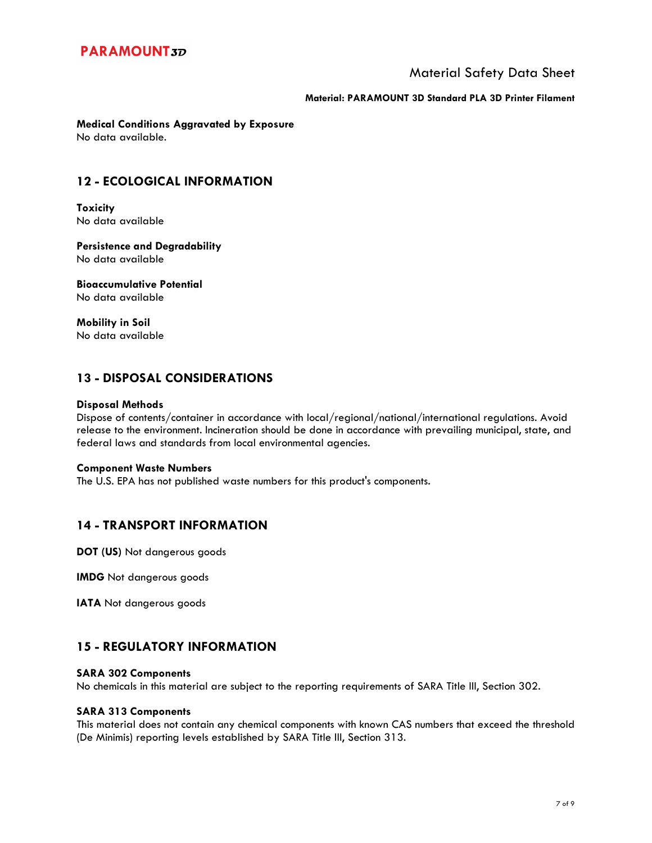## Material Safety Data Sheet

#### **Material: PARAMOUNT 3D Standard PLA 3D Printer Filament**

**Medical Conditions Aggravated by Exposure**  No data available.

## **12 - ECOLOGICAL INFORMATION**

**Toxicity**  No data available

**Persistence and Degradability**  No data available

**Bioaccumulative Potential**  No data available

**Mobility in Soil**  No data available

## **13 - DISPOSAL CONSIDERATIONS**

#### **Disposal Methods**

Dispose of contents/container in accordance with local/regional/national/international regulations. Avoid release to the environment. Incineration should be done in accordance with prevailing municipal, state, and federal laws and standards from local environmental agencies.

#### **Component Waste Numbers**

The U.S. EPA has not published waste numbers for this product's components.

## **14 - TRANSPORT INFORMATION**

**DOT (US)** Not dangerous goods

**IMDG** Not dangerous goods

**IATA** Not dangerous goods

## **15 - REGULATORY INFORMATION**

### **SARA 302 Components**

No chemicals in this material are subject to the reporting requirements of SARA Title III, Section 302.

### **SARA 313 Components**

This material does not contain any chemical components with known CAS numbers that exceed the threshold (De Minimis) reporting levels established by SARA Title III, Section 313.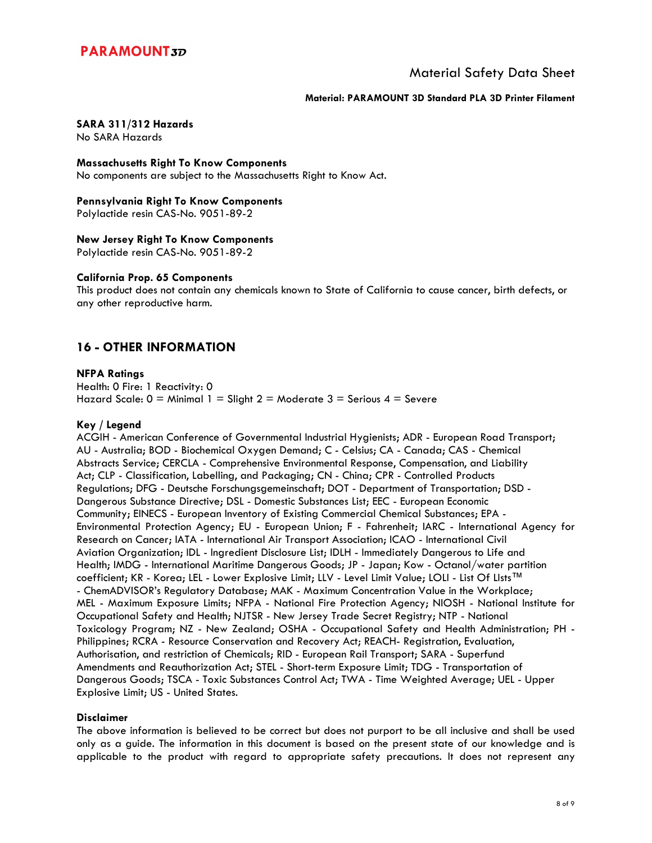## Material Safety Data Sheet

#### **Material: PARAMOUNT 3D Standard PLA 3D Printer Filament**

### **SARA 311/312 Hazards**

No SARA Hazards

**Massachusetts Right To Know Components** 

No components are subject to the Massachusetts Right to Know Act.

#### **Pennsylvania Right To Know Components**

Polylactide resin CAS-No. 9051-89-2

### **New Jersey Right To Know Components**

Polylactide resin CAS-No. 9051-89-2

### **California Prop. 65 Components**

This product does not contain any chemicals known to State of California to cause cancer, birth defects, or any other reproductive harm.

## **16 - OTHER INFORMATION**

### **NFPA Ratings**

Health: 0 Fire: 1 Reactivity: 0 Hazard Scale:  $0 =$  Minimal 1 = Slight 2 = Moderate 3 = Serious 4 = Severe

### **Key / Legend**

ACGIH - American Conference of Governmental Industrial Hygienists; ADR - European Road Transport; AU - Australia; BOD - Biochemical Oxygen Demand; C - Celsius; CA - Canada; CAS - Chemical Abstracts Service; CERCLA - Comprehensive Environmental Response, Compensation, and Liability Act; CLP - Classification, Labelling, and Packaging; CN - China; CPR - Controlled Products Regulations; DFG - Deutsche Forschungsgemeinschaft; DOT - Department of Transportation; DSD - Dangerous Substance Directive; DSL - Domestic Substances List; EEC - European Economic Community; EINECS - European Inventory of Existing Commercial Chemical Substances; EPA - Environmental Protection Agency; EU - European Union; F - Fahrenheit; IARC - International Agency for Research on Cancer; IATA - International Air Transport Association; ICAO - International Civil Aviation Organization; IDL - Ingredient Disclosure List; IDLH - Immediately Dangerous to Life and Health; IMDG - International Maritime Dangerous Goods; JP - Japan; Kow - Octanol/water partition coefficient; KR - Korea; LEL - Lower Explosive Limit; LLV - Level Limit Value; LOLI - List Of LIsts™ - ChemADVISOR's Regulatory Database; MAK - Maximum Concentration Value in the Workplace; MEL - Maximum Exposure Limits; NFPA - National Fire Protection Agency; NIOSH - National Institute for Occupational Safety and Health; NJTSR - New Jersey Trade Secret Registry; NTP - National Toxicology Program; NZ - New Zealand; OSHA - Occupational Safety and Health Administration; PH - Philippines; RCRA - Resource Conservation and Recovery Act; REACH- Registration, Evaluation, Authorisation, and restriction of Chemicals; RID - European Rail Transport; SARA - Superfund Amendments and Reauthorization Act; STEL - Short-term Exposure Limit; TDG - Transportation of Dangerous Goods; TSCA - Toxic Substances Control Act; TWA - Time Weighted Average; UEL - Upper Explosive Limit; US - United States.

### **Disclaimer**

The above information is believed to be correct but does not purport to be all inclusive and shall be used only as a guide. The information in this document is based on the present state of our knowledge and is applicable to the product with regard to appropriate safety precautions. It does not represent any